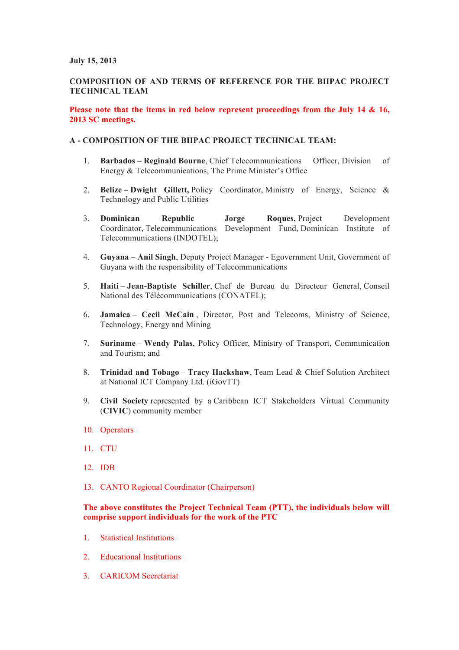#### **July 15, 2013**

# **COMPOSITION OF AND TERMS OF REFERENCE FOR THE BIIPAC PROJECT TECHNICAL TEAM**

## **Please note that the items in red below represent proceedings from the July 14 & 16, 2013 SC meetings.**

## **A - COMPOSITION OF THE BIIPAC PROJECT TECHNICAL TEAM:**

- 1. **Barbados Reginald Bourne**, Chief Telecommunications Officer, Division of Energy & Telecommunications, The Prime Minister's Office
- 2. **Belize Dwight Gillett,** Policy Coordinator, Ministry of Energy, Science & Technology and Public Utilities
- 3. **Dominican Republic Jorge Roques,** Project Development Coordinator, Telecommunications Development Fund, Dominican Institute of Telecommunications (INDOTEL);
- 4. **Guyana Anil Singh**, Deputy Project Manager Egovernment Unit, Government of Guyana with the responsibility of Telecommunications
- 5. **Haiti Jean-Baptiste Schiller**, Chef de Bureau du Directeur General, Conseil National des Télécommunications (CONATEL);
- 6. **Jamaica Cecil McCain** , Director, Post and Telecoms, Ministry of Science, Technology, Energy and Mining
- 7. **Suriname Wendy Palas**, Policy Officer, Ministry of Transport, Communication and Tourism; and
- 8. **Trinidad and Tobago Tracy Hackshaw**, Team Lead & Chief Solution Architect at National ICT Company Ltd. (iGovTT)
- 9. **Civil Society** represented by a Caribbean ICT Stakeholders Virtual Community (**CIVIC**) community member
- 10. Operators
- 11. CTU
- 12. IDB
- 13. CANTO Regional Coordinator (Chairperson)

### **The above constitutes the Project Technical Team (PTT), the individuals below will comprise support individuals for the work of the PTC**

- 1. Statistical Institutions
- 2. Educational Institutions
- 3. CARICOM Secretariat